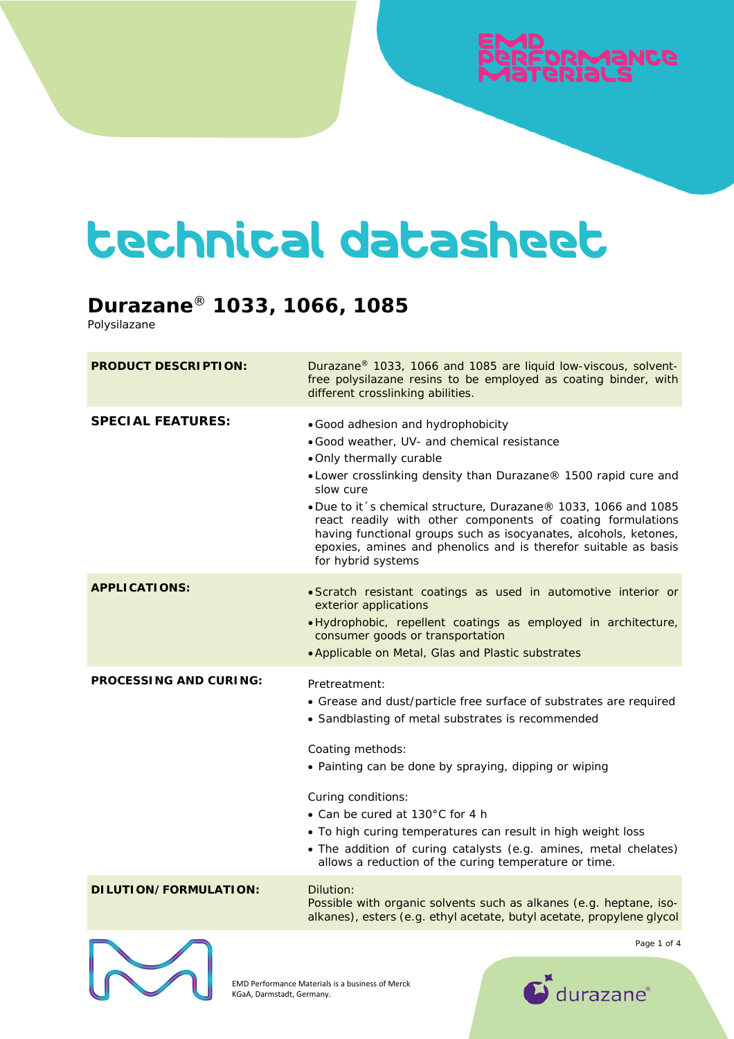# ээибМяо:

## technical datasheet

### **Durazane**® **1033, 1066, 1085**

Polysilazane

| <b>PRODUCT DESCRIPTION:</b>   | Durazane <sup>®</sup> 1033, 1066 and 1085 are liquid low-viscous, solvent-<br>free polysilazane resins to be employed as coating binder, with<br>different crosslinking abilities.                                                                                                                                                                                                                                                                                                           |
|-------------------------------|----------------------------------------------------------------------------------------------------------------------------------------------------------------------------------------------------------------------------------------------------------------------------------------------------------------------------------------------------------------------------------------------------------------------------------------------------------------------------------------------|
| <b>SPECIAL FEATURES:</b>      | . Good adhesion and hydrophobicity<br>· Good weather, UV- and chemical resistance<br>. Only thermally curable<br>• Lower crosslinking density than Durazane® 1500 rapid cure and<br>slow cure<br>. Due to it's chemical structure, Durazane® 1033, 1066 and 1085<br>react readily with other components of coating formulations<br>having functional groups such as isocyanates, alcohols, ketones,<br>epoxies, amines and phenolics and is therefor suitable as basis<br>for hybrid systems |
| <b>APPLICATIONS:</b>          | · Scratch resistant coatings as used in automotive interior or<br>exterior applications<br>· Hydrophobic, repellent coatings as employed in architecture,<br>consumer goods or transportation<br>. Applicable on Metal, Glas and Plastic substrates                                                                                                                                                                                                                                          |
| <b>PROCESSING AND CURING:</b> | Pretreatment:<br>• Grease and dust/particle free surface of substrates are required<br>• Sandblasting of metal substrates is recommended<br>Coating methods:<br>• Painting can be done by spraying, dipping or wiping<br>Curing conditions:<br>• Can be cured at 130°C for 4 h<br>• To high curing temperatures can result in high weight loss<br>. The addition of curing catalysts (e.g. amines, metal chelates)<br>allows a reduction of the curing temperature or time.                  |
| DILUTION/FORMULATION:         | Dilution:<br>Possible with organic solvents such as alkanes (e.g. heptane, iso-<br>alkanes), esters (e.g. ethyl acetate, butyl acetate, propylene glycol                                                                                                                                                                                                                                                                                                                                     |
|                               | Page 1 of 4                                                                                                                                                                                                                                                                                                                                                                                                                                                                                  |



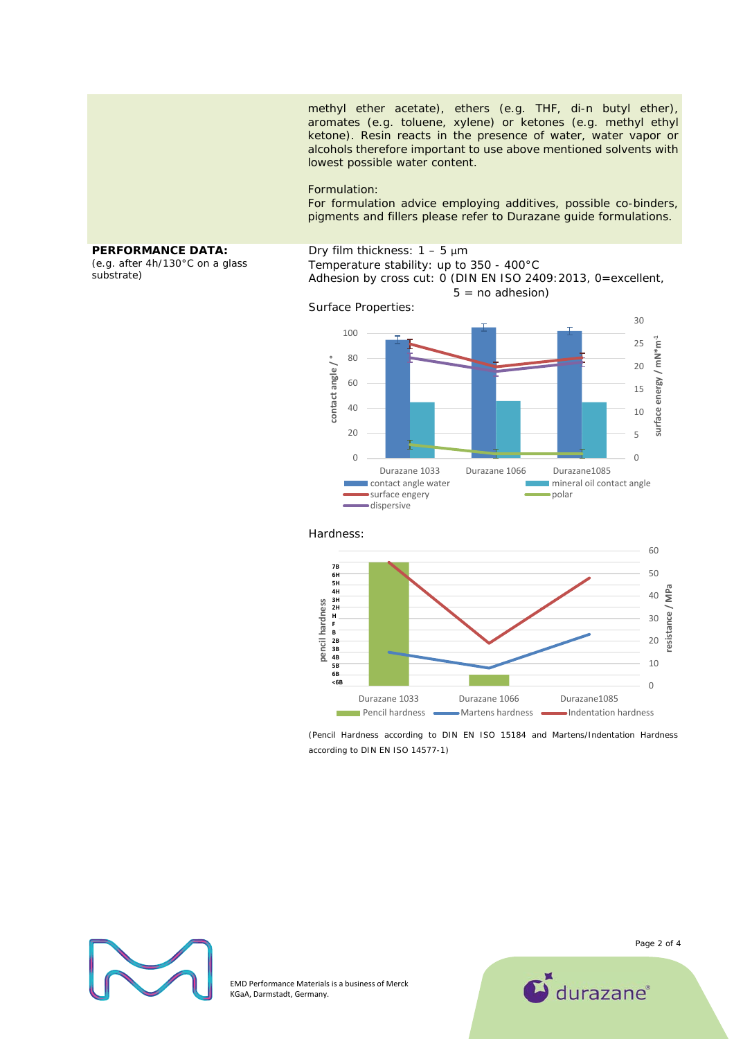methyl ether acetate), ethers (e.g. THF, di-n butyl ether), aromates (e.g. toluene, xylene) or ketones (e.g. methyl ethyl ketone). Resin reacts in the presence of water, water vapor or alcohols therefore important to use above mentioned solvents with lowest possible water content.

#### Formulation:

For formulation advice employing additives, possible co-binders, pigments and fillers please refer to Durazane guide formulations.

### **PERFORMANCE DATA:**

*(e.g. after 4h/130°C on a glass substrate)* 

#### Dry film thickness:  $1 - 5 \mu m$ Temperature stability: up to 350 - 400°C Adhesion by cross cut: 0 (DIN EN ISO 2409: 2013, 0=excellent,  $5 = no$  adhesion)

Surface Properties:





(Pencil Hardness according to DIN EN ISO 15184 and Martens/Indentation Hardness according to DIN EN ISO 14577-1)



EMD Performance Materials is a business of Merck KGaA, Darmstadt, Germany.

Page 2 of 4

 $\sum$  durazane<sup>®</sup>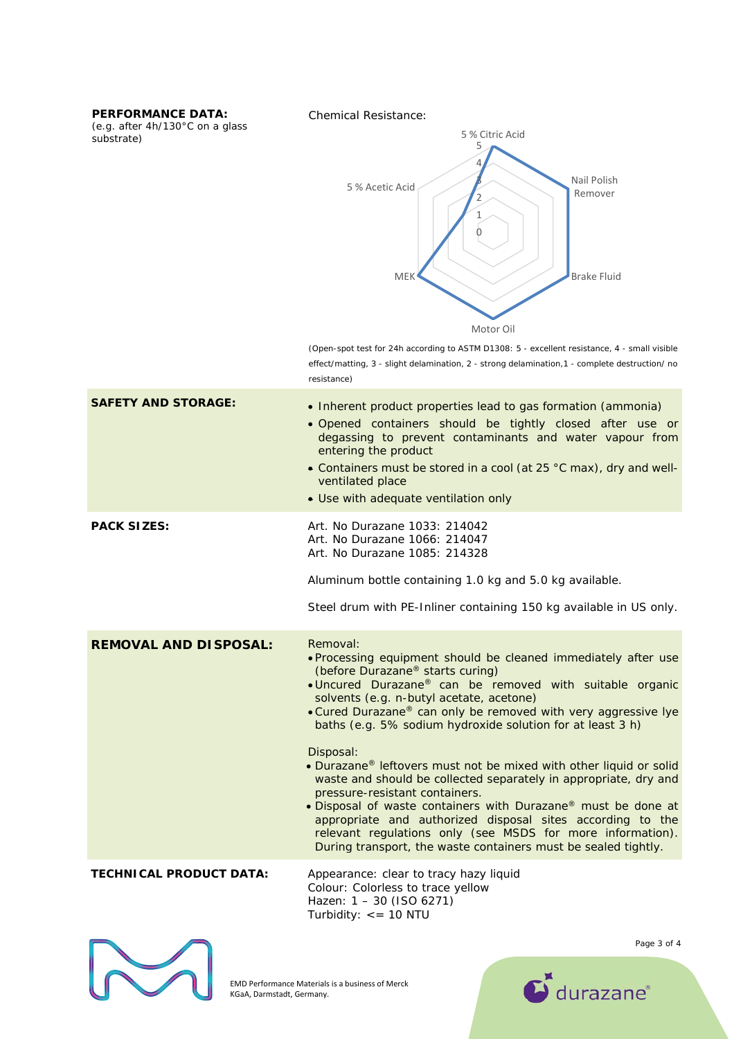**PERFORMANCE DATA:** 

*(e.g. after 4h/130°C on a glass substrate)* 

Chemical Resistance:



(Open-spot test for 24h according to ASTM D1308: 5 - excellent resistance, 4 - small visible effect/matting, 3 - slight delamination, 2 - strong delamination,1 - complete destruction/ no resistance)

| <b>SAFETY AND STORAGE:</b>     | • Inherent product properties lead to gas formation (ammonia)<br>· Opened containers should be tightly closed after use or<br>degassing to prevent contaminants and water vapour from<br>entering the product<br>• Containers must be stored in a cool (at 25 °C max), dry and well-<br>ventilated place<br>• Use with adequate ventilation only                                                                                                                                                                                                                                                                                                                                                                                                                                                                                       |
|--------------------------------|----------------------------------------------------------------------------------------------------------------------------------------------------------------------------------------------------------------------------------------------------------------------------------------------------------------------------------------------------------------------------------------------------------------------------------------------------------------------------------------------------------------------------------------------------------------------------------------------------------------------------------------------------------------------------------------------------------------------------------------------------------------------------------------------------------------------------------------|
| <b>PACK SIZES:</b>             | Art. No Durazane 1033: 214042<br>Art. No Durazane 1066: 214047<br>Art. No Durazane 1085: 214328<br>Aluminum bottle containing 1.0 kg and 5.0 kg available.<br>Steel drum with PE-Inliner containing 150 kg available in US only.                                                                                                                                                                                                                                                                                                                                                                                                                                                                                                                                                                                                       |
| <b>REMOVAL AND DISPOSAL:</b>   | Removal:<br>. Processing equipment should be cleaned immediately after use<br>(before Durazane® starts curing)<br>. Uncured Durazane <sup>®</sup> can be removed with suitable organic<br>solvents (e.g. n-butyl acetate, acetone)<br>• Cured Durazane® can only be removed with very aggressive lye<br>baths (e.g. 5% sodium hydroxide solution for at least 3 h)<br>Disposal:<br>. Durazane <sup>®</sup> leftovers must not be mixed with other liquid or solid<br>waste and should be collected separately in appropriate, dry and<br>pressure-resistant containers.<br>. Disposal of waste containers with Durazane® must be done at<br>appropriate and authorized disposal sites according to the<br>relevant regulations only (see MSDS for more information).<br>During transport, the waste containers must be sealed tightly. |
| <b>TECHNICAL PRODUCT DATA:</b> | Appearance: clear to tracy hazy liquid<br>National Coloration for free constitutions                                                                                                                                                                                                                                                                                                                                                                                                                                                                                                                                                                                                                                                                                                                                                   |

Colour: Colorless to trace yellow Hazen: 1 – 30 (ISO 6271) Turbidity: <= 10 NTU



EMD Performance Materials is a business of Merck KGaA, Darmstadt, Germany.

Page 3 of 4

 $\mathbf{C}$  durazane<sup>®</sup>